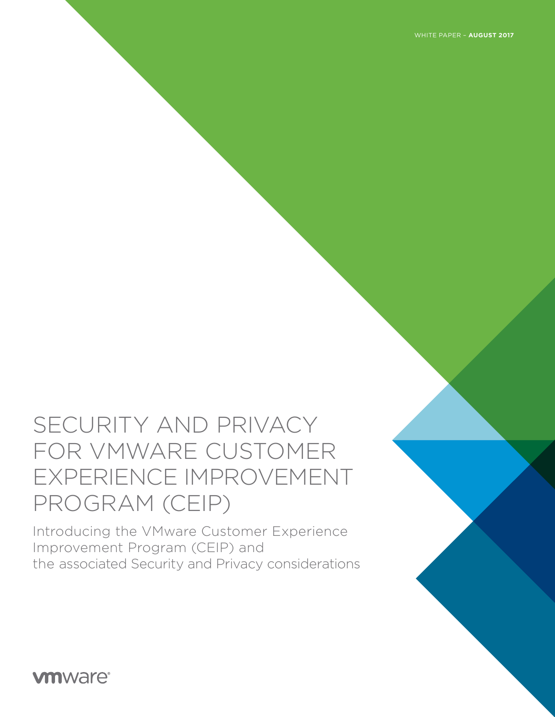WHITE PAPER – **AUGUST 2017**

# SECURITY AND PRIVACY FOR VMWARE CUSTOMER EXPERIENCE IMPROVEMENT PROGRAM (CEIP)

Introducing the VMware Customer Experience Improvement Program (CEIP) and the associated Security and Privacy considerations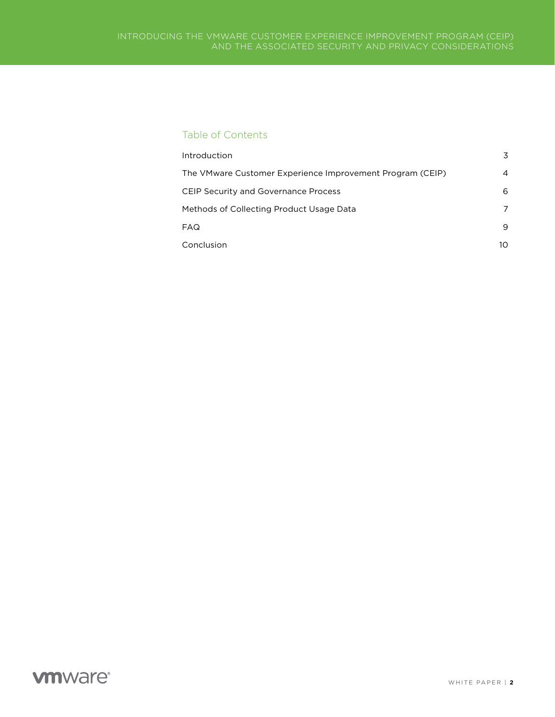### Table of Contents

| Introduction                                              | 3  |
|-----------------------------------------------------------|----|
| The VMware Customer Experience Improvement Program (CEIP) | 4  |
| <b>CEIP Security and Governance Process</b>               | 6  |
| Methods of Collecting Product Usage Data                  | 7  |
| FAQ                                                       | 9  |
| Conclusion                                                | 10 |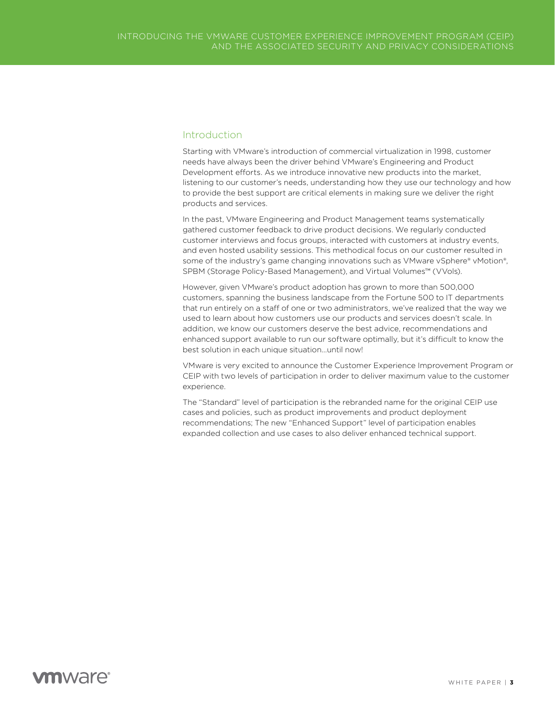#### <span id="page-2-0"></span>Introduction

Starting with VMware's introduction of commercial virtualization in 1998, customer needs have always been the driver behind VMware's Engineering and Product Development efforts. As we introduce innovative new products into the market, listening to our customer's needs, understanding how they use our technology and how to provide the best support are critical elements in making sure we deliver the right products and services.

In the past, VMware Engineering and Product Management teams systematically gathered customer feedback to drive product decisions. We regularly conducted customer interviews and focus groups, interacted with customers at industry events, and even hosted usability sessions. This methodical focus on our customer resulted in some of the industry's game changing innovations such as VMware vSphere® vMotion®, SPBM (Storage Policy-Based Management), and Virtual Volumes™ (VVols).

However, given VMware's product adoption has grown to more than 500,000 customers, spanning the business landscape from the Fortune 500 to IT departments that run entirely on a staff of one or two administrators, we've realized that the way we used to learn about how customers use our products and services doesn't scale. In addition, we know our customers deserve the best advice, recommendations and enhanced support available to run our software optimally, but it's difficult to know the best solution in each unique situation…until now!

VMware is very excited to announce the Customer Experience Improvement Program or CEIP with two levels of participation in order to deliver maximum value to the customer experience.

The "Standard" level of participation is the rebranded name for the original CEIP use cases and policies, such as product improvements and product deployment recommendations; The new "Enhanced Support" level of participation enables expanded collection and use cases to also deliver enhanced technical support.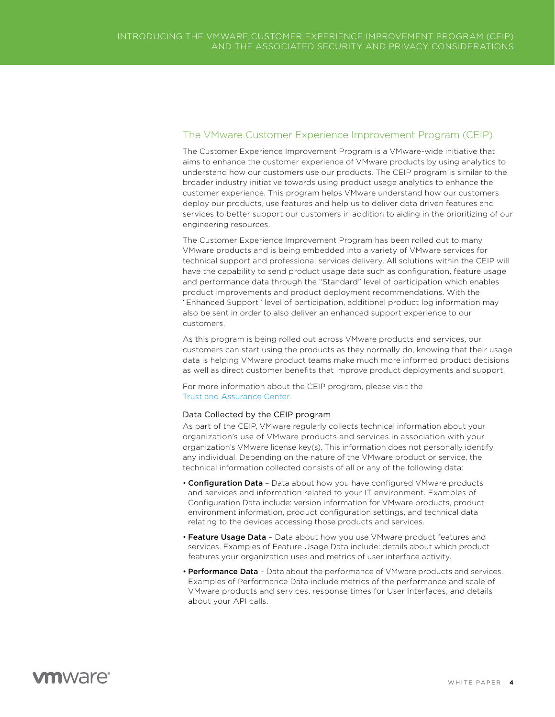### <span id="page-3-0"></span>The VMware Customer Experience Improvement Program (CEIP)

The Customer Experience Improvement Program is a VMware-wide initiative that aims to enhance the customer experience of VMware products by using analytics to understand how our customers use our products. The CEIP program is similar to the broader industry initiative towards using product usage analytics to enhance the customer experience. This program helps VMware understand how our customers deploy our products, use features and help us to deliver data driven features and services to better support our customers in addition to aiding in the prioritizing of our engineering resources.

The Customer Experience Improvement Program has been rolled out to many VMware products and is being embedded into a variety of VMware services for technical support and professional services delivery. All solutions within the CEIP will have the capability to send product usage data such as configuration, feature usage and performance data through the "Standard" level of participation which enables product improvements and product deployment recommendations. With the "Enhanced Support" level of participation, additional product log information may also be sent in order to also deliver an enhanced support experience to our customers.

As this program is being rolled out across VMware products and services, our customers can start using the products as they normally do, knowing that their usage data is helping VMware product teams make much more informed product decisions as well as direct customer benefits that improve product deployments and support.

For more information about the CEIP program, please visit the [Trust and Assurance Center.](http://www.vmware.com/solutions/trustvmware/ceip.html)

#### Data Collected by the CEIP program

As part of the CEIP, VMware regularly collects technical information about your organization's use of VMware products and services in association with your organization's VMware license key(s). This information does not personally identify any individual. Depending on the nature of the VMware product or service, the technical information collected consists of all or any of the following data:

- Configuration Data Data about how you have configured VMware products and services and information related to your IT environment. Examples of Configuration Data include: version information for VMware products, product environment information, product configuration settings, and technical data relating to the devices accessing those products and services.
- Feature Usage Data Data about how you use VMware product features and services. Examples of Feature Usage Data include: details about which product features your organization uses and metrics of user interface activity.
- Performance Data Data about the performance of VMware products and services. Examples of Performance Data include metrics of the performance and scale of VMware products and services, response times for User Interfaces, and details about your API calls.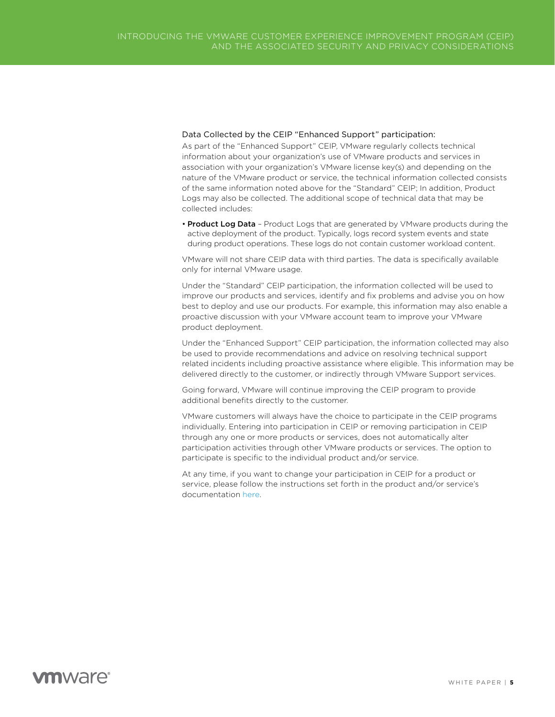#### Data Collected by the CEIP "Enhanced Support" participation:

As part of the "Enhanced Support" CEIP, VMware regularly collects technical information about your organization's use of VMware products and services in association with your organization's VMware license key(s) and depending on the nature of the VMware product or service, the technical information collected consists of the same information noted above for the "Standard" CEIP; In addition, Product Logs may also be collected. The additional scope of technical data that may be collected includes:

• Product Log Data - Product Logs that are generated by VMware products during the active deployment of the product. Typically, logs record system events and state during product operations. These logs do not contain customer workload content.

VMware will not share CEIP data with third parties. The data is specifically available only for internal VMware usage.

Under the "Standard" CEIP participation, the information collected will be used to improve our products and services, identify and fix problems and advise you on how best to deploy and use our products. For example, this information may also enable a proactive discussion with your VMware account team to improve your VMware product deployment.

Under the "Enhanced Support" CEIP participation, the information collected may also be used to provide recommendations and advice on resolving technical support related incidents including proactive assistance where eligible. This information may be delivered directly to the customer, or indirectly through VMware Support services.

Going forward, VMware will continue improving the CEIP program to provide additional benefits directly to the customer.

VMware customers will always have the choice to participate in the CEIP programs individually. Entering into participation in CEIP or removing participation in CEIP through any one or more products or services, does not automatically alter participation activities through other VMware products or services. The option to participate is specific to the individual product and/or service.

At any time, if you want to change your participation in CEIP for a product or service, please follow the instructions set forth in the product and/or service's documentation [here.](https://www.vmware.com/solutions/trustvmware/ceip-products.html)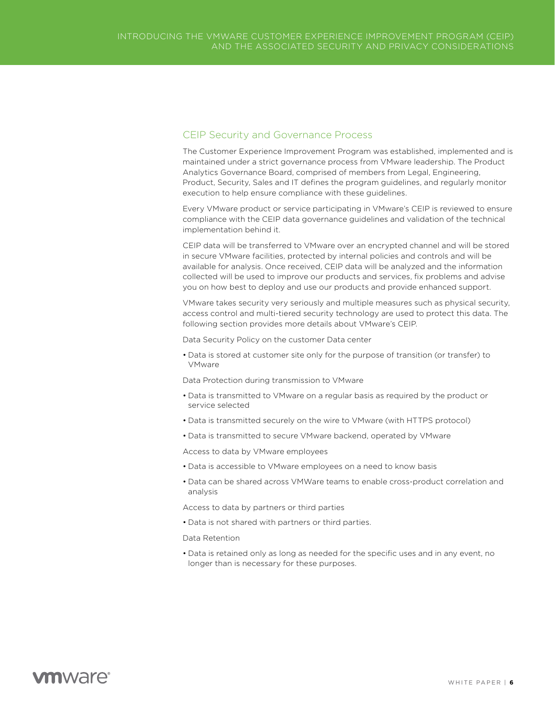#### <span id="page-5-0"></span>CEIP Security and Governance Process

The Customer Experience Improvement Program was established, implemented and is maintained under a strict governance process from VMware leadership. The Product Analytics Governance Board, comprised of members from Legal, Engineering, Product, Security, Sales and IT defines the program guidelines, and regularly monitor execution to help ensure compliance with these guidelines.

Every VMware product or service participating in VMware's CEIP is reviewed to ensure compliance with the CEIP data governance guidelines and validation of the technical implementation behind it.

CEIP data will be transferred to VMware over an encrypted channel and will be stored in secure VMware facilities, protected by internal policies and controls and will be available for analysis. Once received, CEIP data will be analyzed and the information collected will be used to improve our products and services, fix problems and advise you on how best to deploy and use our products and provide enhanced support.

VMware takes security very seriously and multiple measures such as physical security, access control and multi-tiered security technology are used to protect this data. The following section provides more details about VMware's CEIP.

Data Security Policy on the customer Data center

• Data is stored at customer site only for the purpose of transition (or transfer) to VMware

Data Protection during transmission to VMware

- Data is transmitted to VMware on a regular basis as required by the product or service selected
- Data is transmitted securely on the wire to VMware (with HTTPS protocol)
- Data is transmitted to secure VMware backend, operated by VMware

Access to data by VMware employees

- Data is accessible to VMware employees on a need to know basis
- Data can be shared across VMWare teams to enable cross-product correlation and analysis

Access to data by partners or third parties

• Data is not shared with partners or third parties.

Data Retention

• Data is retained only as long as needed for the specific uses and in any event, no longer than is necessary for these purposes.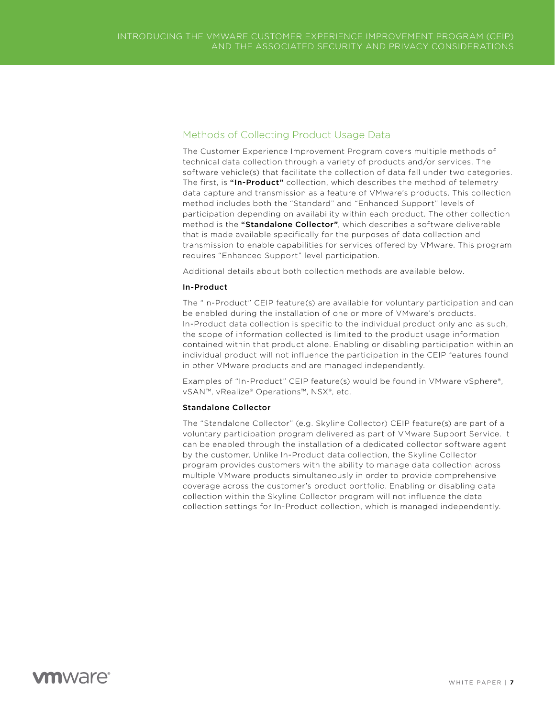### <span id="page-6-0"></span>Methods of Collecting Product Usage Data

The Customer Experience Improvement Program covers multiple methods of technical data collection through a variety of products and/or services. The software vehicle(s) that facilitate the collection of data fall under two categories. The first, is "In-Product" collection, which describes the method of telemetry data capture and transmission as a feature of VMware's products. This collection method includes both the "Standard" and "Enhanced Support" levels of participation depending on availability within each product. The other collection method is the "Standalone Collector", which describes a software deliverable that is made available specifically for the purposes of data collection and transmission to enable capabilities for services offered by VMware. This program requires "Enhanced Support" level participation.

Additional details about both collection methods are available below.

#### In-Product

The "In-Product" CEIP feature(s) are available for voluntary participation and can be enabled during the installation of one or more of VMware's products. In-Product data collection is specific to the individual product only and as such, the scope of information collected is limited to the product usage information contained within that product alone. Enabling or disabling participation within an individual product will not influence the participation in the CEIP features found in other VMware products and are managed independently.

Examples of "In-Product" CEIP feature(s) would be found in VMware vSphere®, vSAN™, vRealize® Operations™, NSX®, etc.

#### Standalone Collector

The "Standalone Collector" (e.g. Skyline Collector) CEIP feature(s) are part of a voluntary participation program delivered as part of VMware Support Service. It can be enabled through the installation of a dedicated collector software agent by the customer. Unlike In-Product data collection, the Skyline Collector program provides customers with the ability to manage data collection across multiple VMware products simultaneously in order to provide comprehensive coverage across the customer's product portfolio. Enabling or disabling data collection within the Skyline Collector program will not influence the data collection settings for In-Product collection, which is managed independently.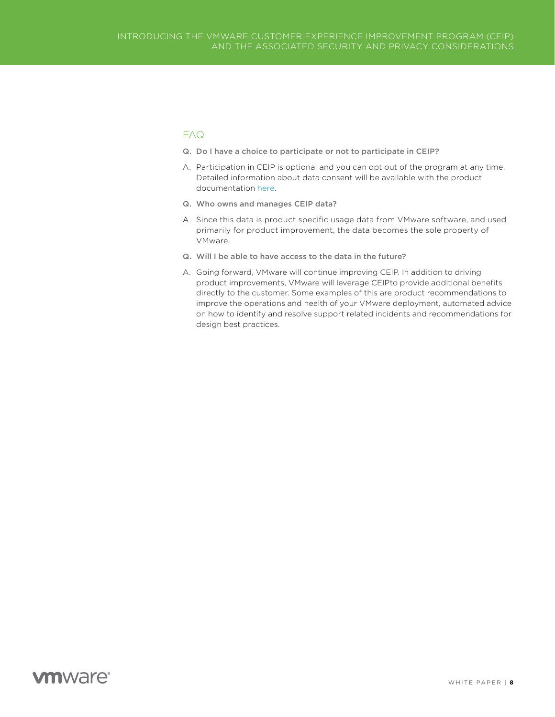### FAQ

- Q. Do I have a choice to participate or not to participate in CEIP?
- A. Participation in CEIP is optional and you can opt out of the program at any time. Detailed information about data consent will be available with the product documentation [here](https://www.vmware.com/solutions/trustvmware/ceip-products.html).
- Q. Who owns and manages CEIP data?
- A. Since this data is product specific usage data from VMware software, and used primarily for product improvement, the data becomes the sole property of VMware.
- Q. Will I be able to have access to the data in the future?
- A. Going forward, VMware will continue improving CEIP. In addition to driving product improvements, VMware will leverage CEIPto provide additional benefits directly to the customer. Some examples of this are product recommendations to improve the operations and health of your VMware deployment, automated advice on how to identify and resolve support related incidents and recommendations for design best practices.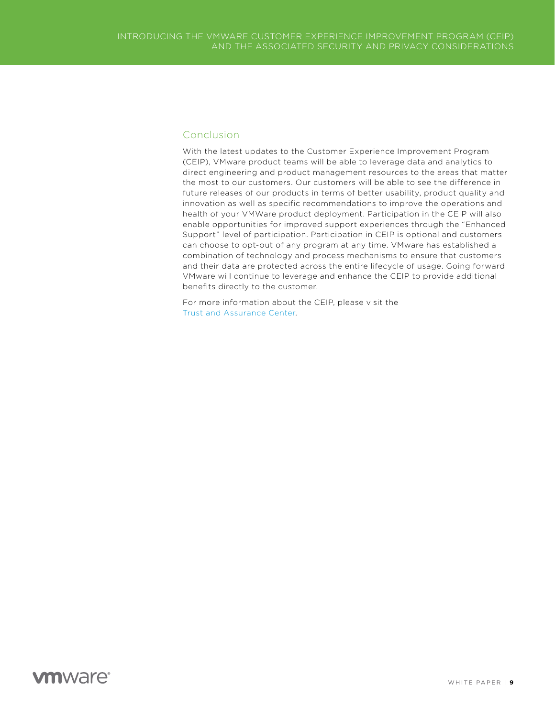#### Conclusion

With the latest updates to the Customer Experience Improvement Program (CEIP), VMware product teams will be able to leverage data and analytics to direct engineering and product management resources to the areas that matter the most to our customers. Our customers will be able to see the difference in future releases of our products in terms of better usability, product quality and innovation as well as specific recommendations to improve the operations and health of your VMWare product deployment. Participation in the CEIP will also enable opportunities for improved support experiences through the "Enhanced Support" level of participation. Participation in CEIP is optional and customers can choose to opt-out of any program at any time. VMware has established a combination of technology and process mechanisms to ensure that customers and their data are protected across the entire lifecycle of usage. Going forward VMware will continue to leverage and enhance the CEIP to provide additional benefits directly to the customer.

For more information about the CEIP, please visit the [Trust and Assurance Center](http://www.vmware.com/solutions/trustvmware/ceip.html).